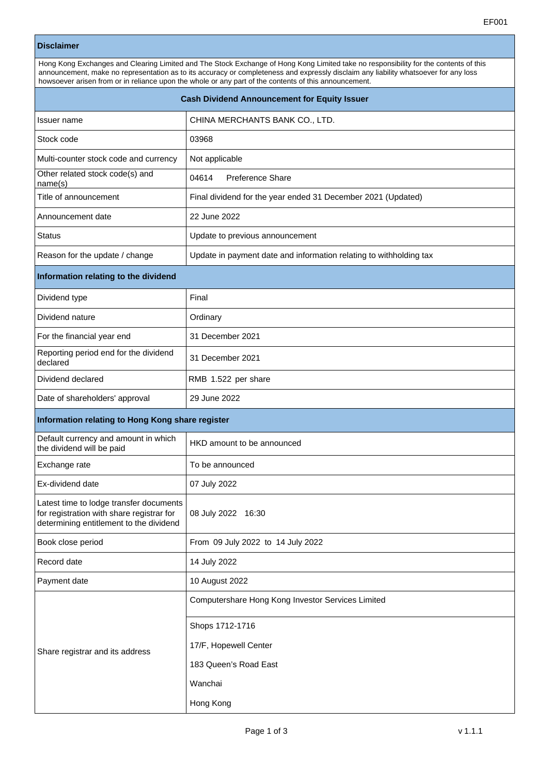## **Disclaimer**

| Hong Kong Exchanges and Clearing Limited and The Stock Exchange of Hong Kong Limited take no responsibility for the contents of this<br>announcement, make no representation as to its accuracy or completeness and expressly disclaim any liability whatsoever for any loss<br>howsoever arisen from or in reliance upon the whole or any part of the contents of this announcement. |                                                                      |  |  |  |
|---------------------------------------------------------------------------------------------------------------------------------------------------------------------------------------------------------------------------------------------------------------------------------------------------------------------------------------------------------------------------------------|----------------------------------------------------------------------|--|--|--|
| <b>Cash Dividend Announcement for Equity Issuer</b>                                                                                                                                                                                                                                                                                                                                   |                                                                      |  |  |  |
| Issuer name                                                                                                                                                                                                                                                                                                                                                                           | CHINA MERCHANTS BANK CO., LTD.                                       |  |  |  |
| Stock code                                                                                                                                                                                                                                                                                                                                                                            | 03968                                                                |  |  |  |
| Multi-counter stock code and currency                                                                                                                                                                                                                                                                                                                                                 | Not applicable                                                       |  |  |  |
| Other related stock code(s) and<br>name(s)                                                                                                                                                                                                                                                                                                                                            | 04614<br>Preference Share                                            |  |  |  |
| Title of announcement                                                                                                                                                                                                                                                                                                                                                                 | Final dividend for the year ended 31 December 2021 (Updated)         |  |  |  |
| Announcement date                                                                                                                                                                                                                                                                                                                                                                     | 22 June 2022                                                         |  |  |  |
| <b>Status</b>                                                                                                                                                                                                                                                                                                                                                                         | Update to previous announcement                                      |  |  |  |
| Reason for the update / change                                                                                                                                                                                                                                                                                                                                                        | Update in payment date and information relating to withholding tax   |  |  |  |
| Information relating to the dividend                                                                                                                                                                                                                                                                                                                                                  |                                                                      |  |  |  |
| Dividend type                                                                                                                                                                                                                                                                                                                                                                         | Final                                                                |  |  |  |
| Dividend nature                                                                                                                                                                                                                                                                                                                                                                       | Ordinary                                                             |  |  |  |
| For the financial year end                                                                                                                                                                                                                                                                                                                                                            | 31 December 2021                                                     |  |  |  |
| Reporting period end for the dividend<br>declared                                                                                                                                                                                                                                                                                                                                     | 31 December 2021                                                     |  |  |  |
| Dividend declared                                                                                                                                                                                                                                                                                                                                                                     | RMB 1.522 per share                                                  |  |  |  |
| Date of shareholders' approval                                                                                                                                                                                                                                                                                                                                                        | 29 June 2022                                                         |  |  |  |
| Information relating to Hong Kong share register                                                                                                                                                                                                                                                                                                                                      |                                                                      |  |  |  |
| Default currency and amount in which<br>the dividend will be paid                                                                                                                                                                                                                                                                                                                     | HKD amount to be announced                                           |  |  |  |
| Exchange rate                                                                                                                                                                                                                                                                                                                                                                         | To be announced                                                      |  |  |  |
| Ex-dividend date                                                                                                                                                                                                                                                                                                                                                                      | 07 July 2022                                                         |  |  |  |
| Latest time to lodge transfer documents<br>for registration with share registrar for<br>determining entitlement to the dividend                                                                                                                                                                                                                                                       | 08 July 2022 16:30                                                   |  |  |  |
| Book close period                                                                                                                                                                                                                                                                                                                                                                     | From 09 July 2022 to 14 July 2022                                    |  |  |  |
| Record date                                                                                                                                                                                                                                                                                                                                                                           | 14 July 2022                                                         |  |  |  |
| Payment date                                                                                                                                                                                                                                                                                                                                                                          | 10 August 2022                                                       |  |  |  |
| Share registrar and its address                                                                                                                                                                                                                                                                                                                                                       | Computershare Hong Kong Investor Services Limited<br>Shops 1712-1716 |  |  |  |
|                                                                                                                                                                                                                                                                                                                                                                                       | 17/F, Hopewell Center                                                |  |  |  |
|                                                                                                                                                                                                                                                                                                                                                                                       | 183 Queen's Road East                                                |  |  |  |
|                                                                                                                                                                                                                                                                                                                                                                                       | Wanchai                                                              |  |  |  |
|                                                                                                                                                                                                                                                                                                                                                                                       | Hong Kong                                                            |  |  |  |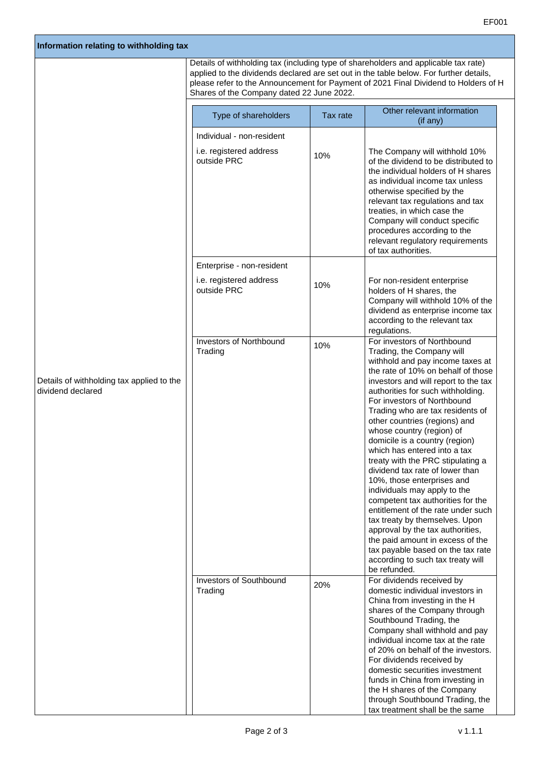| Information relating to withholding tax                        |                                                                     |          |                                                                                                                                                                                                                                                                                                                                                                                                                                                                                                                                                                                                                                                                                                                                                                                                                                         |
|----------------------------------------------------------------|---------------------------------------------------------------------|----------|-----------------------------------------------------------------------------------------------------------------------------------------------------------------------------------------------------------------------------------------------------------------------------------------------------------------------------------------------------------------------------------------------------------------------------------------------------------------------------------------------------------------------------------------------------------------------------------------------------------------------------------------------------------------------------------------------------------------------------------------------------------------------------------------------------------------------------------------|
|                                                                | Shares of the Company dated 22 June 2022.                           |          | Details of withholding tax (including type of shareholders and applicable tax rate)<br>applied to the dividends declared are set out in the table below. For further details,<br>please refer to the Announcement for Payment of 2021 Final Dividend to Holders of H                                                                                                                                                                                                                                                                                                                                                                                                                                                                                                                                                                    |
| Details of withholding tax applied to the<br>dividend declared | Type of shareholders                                                | Tax rate | Other relevant information<br>(if any)                                                                                                                                                                                                                                                                                                                                                                                                                                                                                                                                                                                                                                                                                                                                                                                                  |
|                                                                | Individual - non-resident<br>i.e. registered address<br>outside PRC | 10%      | The Company will withhold 10%<br>of the dividend to be distributed to<br>the individual holders of H shares<br>as individual income tax unless<br>otherwise specified by the<br>relevant tax regulations and tax<br>treaties, in which case the<br>Company will conduct specific<br>procedures according to the<br>relevant regulatory requirements<br>of tax authorities.                                                                                                                                                                                                                                                                                                                                                                                                                                                              |
|                                                                | Enterprise - non-resident<br>i.e. registered address<br>outside PRC | 10%      | For non-resident enterprise<br>holders of H shares, the<br>Company will withhold 10% of the<br>dividend as enterprise income tax<br>according to the relevant tax<br>regulations.                                                                                                                                                                                                                                                                                                                                                                                                                                                                                                                                                                                                                                                       |
|                                                                | <b>Investors of Northbound</b><br>Trading                           | 10%      | For investors of Northbound<br>Trading, the Company will<br>withhold and pay income taxes at<br>the rate of 10% on behalf of those<br>investors and will report to the tax<br>authorities for such withholding.<br>For investors of Northbound<br>Trading who are tax residents of<br>other countries (regions) and<br>whose country (region) of<br>domicile is a country (region)<br>which has entered into a tax<br>treaty with the PRC stipulating a<br>dividend tax rate of lower than<br>10%, those enterprises and<br>individuals may apply to the<br>competent tax authorities for the<br>entitlement of the rate under such<br>tax treaty by themselves. Upon<br>approval by the tax authorities,<br>the paid amount in excess of the<br>tax payable based on the tax rate<br>according to such tax treaty will<br>be refunded. |
|                                                                | Investors of Southbound<br>Trading                                  | 20%      | For dividends received by<br>domestic individual investors in<br>China from investing in the H<br>shares of the Company through<br>Southbound Trading, the<br>Company shall withhold and pay<br>individual income tax at the rate<br>of 20% on behalf of the investors.<br>For dividends received by<br>domestic securities investment<br>funds in China from investing in<br>the H shares of the Company<br>through Southbound Trading, the<br>tax treatment shall be the same                                                                                                                                                                                                                                                                                                                                                         |

EF001